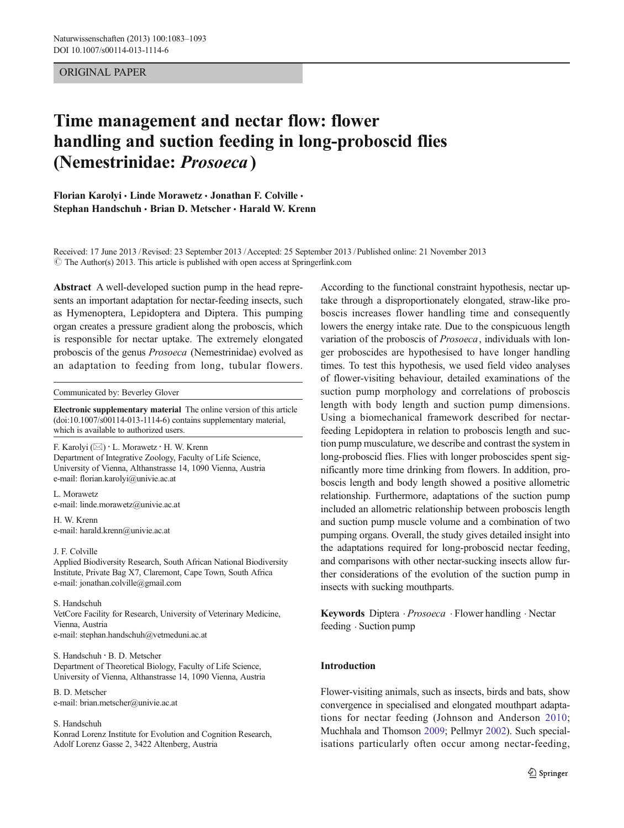# ORIGINAL PAPER

# Time management and nectar flow: flower handling and suction feeding in long-proboscid flies (Nemestrinidae: Prosoeca )

Florian Karolyi · Linde Morawetz · Jonathan F. Colville · Stephan Handschuh · Brian D. Metscher · Harald W. Krenn

Received: 17 June 2013 /Revised: 23 September 2013 /Accepted: 25 September 2013 / Published online: 21 November 2013  $\odot$  The Author(s) 2013. This article is published with open access at Springerlink.com

Abstract A well-developed suction pump in the head represents an important adaptation for nectar-feeding insects, such as Hymenoptera, Lepidoptera and Diptera. This pumping organ creates a pressure gradient along the proboscis, which is responsible for nectar uptake. The extremely elongated proboscis of the genus Prosoeca (Nemestrinidae) evolved as an adaptation to feeding from long, tubular flowers.

#### Communicated by: Beverley Glover

Electronic supplementary material The online version of this article (doi[:10.1007/s00114-013-1114-6](http://dx.doi.org/10.1007/s00114-013-1114-6)) contains supplementary material, which is available to authorized users.

F. Karolyi  $(\boxtimes) \cdot$  L. Morawetz  $\cdot$  H. W. Krenn Department of Integrative Zoology, Faculty of Life Science, University of Vienna, Althanstrasse 14, 1090 Vienna, Austria e-mail: florian.karolyi@univie.ac.at

L. Morawetz e-mail: linde.morawetz@univie.ac.at

H. W. Krenn e-mail: harald.krenn@univie.ac.at

#### J. F. Colville

Applied Biodiversity Research, South African National Biodiversity Institute, Private Bag X7, Claremont, Cape Town, South Africa e-mail: jonathan.colville@gmail.com

S. Handschuh VetCore Facility for Research, University of Veterinary Medicine, Vienna, Austria e-mail: stephan.handschuh@vetmeduni.ac.at

S. Handschuh : B. D. Metscher Department of Theoretical Biology, Faculty of Life Science, University of Vienna, Althanstrasse 14, 1090 Vienna, Austria

B. D. Metscher e-mail: brian.metscher@univie.ac.at

#### S. Handschuh

Konrad Lorenz Institute for Evolution and Cognition Research, Adolf Lorenz Gasse 2, 3422 Altenberg, Austria

According to the functional constraint hypothesis, nectar uptake through a disproportionately elongated, straw-like proboscis increases flower handling time and consequently lowers the energy intake rate. Due to the conspicuous length variation of the proboscis of Prosoeca, individuals with longer proboscides are hypothesised to have longer handling times. To test this hypothesis, we used field video analyses of flower-visiting behaviour, detailed examinations of the suction pump morphology and correlations of proboscis length with body length and suction pump dimensions. Using a biomechanical framework described for nectarfeeding Lepidoptera in relation to proboscis length and suction pump musculature, we describe and contrast the system in long-proboscid flies. Flies with longer proboscides spent significantly more time drinking from flowers. In addition, proboscis length and body length showed a positive allometric relationship. Furthermore, adaptations of the suction pump included an allometric relationship between proboscis length and suction pump muscle volume and a combination of two pumping organs. Overall, the study gives detailed insight into the adaptations required for long-proboscid nectar feeding, and comparisons with other nectar-sucking insects allow further considerations of the evolution of the suction pump in insects with sucking mouthparts.

Keywords Diptera · Prosoeca · Flower handling · Nectar feeding . Suction pump

## Introduction

Flower-visiting animals, such as insects, birds and bats, show convergence in specialised and elongated mouthpart adaptations for nectar feeding (Johnson and Anderson [2010;](#page-9-0) Muchhala and Thomson [2009;](#page-10-0) Pellmyr [2002](#page-10-0)). Such specialisations particularly often occur among nectar-feeding,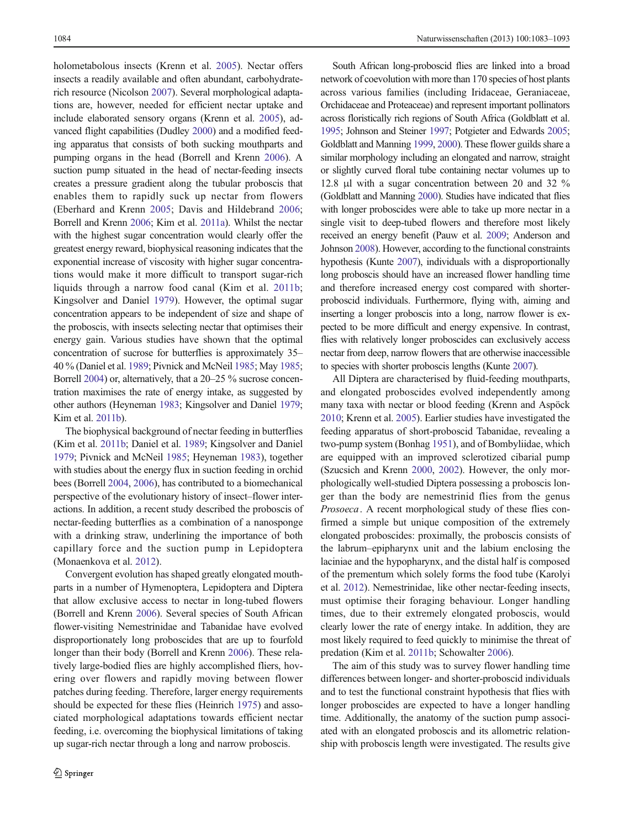holometabolous insects (Krenn et al. [2005](#page-10-0)). Nectar offers insects a readily available and often abundant, carbohydraterich resource (Nicolson [2007](#page-10-0)). Several morphological adaptations are, however, needed for efficient nectar uptake and include elaborated sensory organs (Krenn et al. [2005](#page-10-0)), advanced flight capabilities (Dudley [2000\)](#page-9-0) and a modified feeding apparatus that consists of both sucking mouthparts and pumping organs in the head (Borrell and Krenn [2006](#page-9-0)). A suction pump situated in the head of nectar-feeding insects creates a pressure gradient along the tubular proboscis that enables them to rapidly suck up nectar from flowers (Eberhard and Krenn [2005](#page-9-0); Davis and Hildebrand [2006](#page-9-0); Borrell and Krenn [2006;](#page-9-0) Kim et al. [2011a\)](#page-10-0). Whilst the nectar with the highest sugar concentration would clearly offer the greatest energy reward, biophysical reasoning indicates that the exponential increase of viscosity with higher sugar concentrations would make it more difficult to transport sugar-rich liquids through a narrow food canal (Kim et al. [2011b](#page-10-0); Kingsolver and Daniel [1979](#page-10-0)). However, the optimal sugar concentration appears to be independent of size and shape of the proboscis, with insects selecting nectar that optimises their energy gain. Various studies have shown that the optimal concentration of sucrose for butterflies is approximately 35– 40 % (Daniel et al. [1989;](#page-9-0) Pivnick and McNeil [1985](#page-10-0); May [1985](#page-10-0); Borrell [2004](#page-9-0)) or, alternatively, that a 20–25 % sucrose concentration maximises the rate of energy intake, as suggested by other authors (Heyneman [1983](#page-9-0); Kingsolver and Daniel [1979](#page-10-0); Kim et al. [2011b\)](#page-10-0).

The biophysical background of nectar feeding in butterflies (Kim et al. [2011b](#page-10-0); Daniel et al. [1989](#page-9-0); Kingsolver and Daniel [1979;](#page-10-0) Pivnick and McNeil [1985](#page-10-0); Heyneman [1983\)](#page-9-0), together with studies about the energy flux in suction feeding in orchid bees (Borrell [2004,](#page-9-0) [2006\)](#page-9-0), has contributed to a biomechanical perspective of the evolutionary history of insect–flower interactions. In addition, a recent study described the proboscis of nectar-feeding butterflies as a combination of a nanosponge with a drinking straw, underlining the importance of both capillary force and the suction pump in Lepidoptera (Monaenkova et al. [2012\)](#page-10-0).

Convergent evolution has shaped greatly elongated mouthparts in a number of Hymenoptera, Lepidoptera and Diptera that allow exclusive access to nectar in long-tubed flowers (Borrell and Krenn [2006\)](#page-9-0). Several species of South African flower-visiting Nemestrinidae and Tabanidae have evolved disproportionately long proboscides that are up to fourfold longer than their body (Borrell and Krenn [2006](#page-9-0)). These relatively large-bodied flies are highly accomplished fliers, hovering over flowers and rapidly moving between flower patches during feeding. Therefore, larger energy requirements should be expected for these flies (Heinrich [1975\)](#page-9-0) and associated morphological adaptations towards efficient nectar feeding, i.e. overcoming the biophysical limitations of taking up sugar-rich nectar through a long and narrow proboscis.

South African long-proboscid flies are linked into a broad network of coevolution with more than 170 species of host plants across various families (including Iridaceae, Geraniaceae, Orchidaceae and Proteaceae) and represent important pollinators across floristically rich regions of South Africa (Goldblatt et al. [1995;](#page-9-0) Johnson and Steiner [1997;](#page-9-0) Potgieter and Edwards [2005;](#page-10-0) Goldblatt and Manning [1999](#page-9-0), [2000](#page-9-0)). These flower guilds share a similar morphology including an elongated and narrow, straight or slightly curved floral tube containing nectar volumes up to 12.8 μl with a sugar concentration between 20 and 32 % (Goldblatt and Manning [2000\)](#page-9-0). Studies have indicated that flies with longer proboscides were able to take up more nectar in a single visit to deep-tubed flowers and therefore most likely received an energy benefit (Pauw et al. [2009](#page-10-0); Anderson and Johnson [2008\)](#page-9-0). However, according to the functional constraints hypothesis (Kunte [2007](#page-10-0)), individuals with a disproportionally long proboscis should have an increased flower handling time and therefore increased energy cost compared with shorterproboscid individuals. Furthermore, flying with, aiming and inserting a longer proboscis into a long, narrow flower is expected to be more difficult and energy expensive. In contrast, flies with relatively longer proboscides can exclusively access nectar from deep, narrow flowers that are otherwise inaccessible to species with shorter proboscis lengths (Kunte [2007\)](#page-10-0).

All Diptera are characterised by fluid-feeding mouthparts, and elongated proboscides evolved independently among many taxa with nectar or blood feeding (Krenn and Aspöck [2010;](#page-10-0) Krenn et al. [2005\)](#page-10-0). Earlier studies have investigated the feeding apparatus of short-proboscid Tabanidae, revealing a two-pump system (Bonhag [1951](#page-9-0)), and of Bombyliidae, which are equipped with an improved sclerotized cibarial pump (Szucsich and Krenn [2000,](#page-10-0) [2002](#page-10-0)). However, the only morphologically well-studied Diptera possessing a proboscis longer than the body are nemestrinid flies from the genus Prosoeca. A recent morphological study of these flies confirmed a simple but unique composition of the extremely elongated proboscides: proximally, the proboscis consists of the labrum–epipharynx unit and the labium enclosing the laciniae and the hypopharynx, and the distal half is composed of the prementum which solely forms the food tube (Karolyi et al. [2012\)](#page-9-0). Nemestrinidae, like other nectar-feeding insects, must optimise their foraging behaviour. Longer handling times, due to their extremely elongated proboscis, would clearly lower the rate of energy intake. In addition, they are most likely required to feed quickly to minimise the threat of predation (Kim et al. [2011b](#page-10-0); Schowalter [2006\)](#page-10-0).

The aim of this study was to survey flower handling time differences between longer- and shorter-proboscid individuals and to test the functional constraint hypothesis that flies with longer proboscides are expected to have a longer handling time. Additionally, the anatomy of the suction pump associated with an elongated proboscis and its allometric relationship with proboscis length were investigated. The results give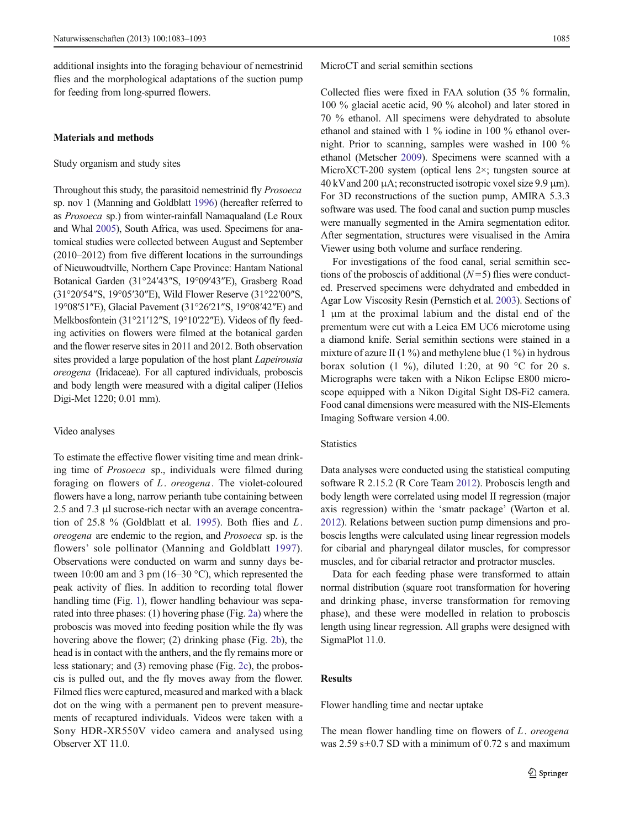additional insights into the foraging behaviour of nemestrinid flies and the morphological adaptations of the suction pump for feeding from long-spurred flowers.

## Materials and methods

#### Study organism and study sites

Throughout this study, the parasitoid nemestrinid fly Prosoeca sp. nov 1 (Manning and Goldblatt [1996](#page-10-0)) (hereafter referred to as Prosoeca sp.) from winter-rainfall Namaqualand (Le Roux and Whal [2005\)](#page-10-0), South Africa, was used. Specimens for anatomical studies were collected between August and September (2010–2012) from five different locations in the surroundings of Nieuwoudtville, Northern Cape Province: Hantam National Botanical Garden (31°24′43″S, 19°09′43″E), Grasberg Road (31°20′54″S, 19°05′30″E), Wild Flower Reserve (31°22′00″S, 19°08′51″E), Glacial Pavement (31°26′21″S, 19°08′42″E) and Melkbosfontein (31°21′12″S, 19°10′22″E). Videos of fly feeding activities on flowers were filmed at the botanical garden and the flower reserve sites in 2011 and 2012. Both observation sites provided a large population of the host plant Lapeirousia oreogena (Iridaceae). For all captured individuals, proboscis and body length were measured with a digital caliper (Helios Digi-Met 1220; 0.01 mm).

#### Video analyses

To estimate the effective flower visiting time and mean drinking time of Prosoeca sp., individuals were filmed during foraging on flowers of L. oreogena. The violet-coloured flowers have a long, narrow perianth tube containing between 2.5 and 7.3 μl sucrose-rich nectar with an average concentra-tion of 25.8 % (Goldblatt et al. [1995\)](#page-9-0). Both flies and  $L$ . oreogena are endemic to the region, and Prosoeca sp. is the flowers' sole pollinator (Manning and Goldblatt [1997](#page-10-0)). Observations were conducted on warm and sunny days between 10:00 am and 3 pm (16–30 °C), which represented the peak activity of flies. In addition to recording total flower handling time (Fig. [1\)](#page-3-0), flower handling behaviour was separated into three phases: (1) hovering phase (Fig. [2a\)](#page-3-0) where the proboscis was moved into feeding position while the fly was hovering above the flower; (2) drinking phase (Fig. [2b](#page-3-0)), the head is in contact with the anthers, and the fly remains more or less stationary; and (3) removing phase (Fig. [2c\)](#page-3-0), the proboscis is pulled out, and the fly moves away from the flower. Filmed flies were captured, measured and marked with a black dot on the wing with a permanent pen to prevent measurements of recaptured individuals. Videos were taken with a Sony HDR-XR550V video camera and analysed using Observer XT 11.0.

MicroCT and serial semithin sections

Collected flies were fixed in FAA solution (35 % formalin, 100 % glacial acetic acid, 90 % alcohol) and later stored in 70 % ethanol. All specimens were dehydrated to absolute ethanol and stained with 1 % iodine in 100 % ethanol overnight. Prior to scanning, samples were washed in 100 % ethanol (Metscher [2009\)](#page-10-0). Specimens were scanned with a MicroXCT-200 system (optical lens 2×; tungsten source at 40 kVand 200 μA; reconstructed isotropic voxel size 9.9 μm). For 3D reconstructions of the suction pump, AMIRA 5.3.3 software was used. The food canal and suction pump muscles were manually segmented in the Amira segmentation editor. After segmentation, structures were visualised in the Amira Viewer using both volume and surface rendering.

For investigations of the food canal, serial semithin sections of the proboscis of additional  $(N=5)$  flies were conducted. Preserved specimens were dehydrated and embedded in Agar Low Viscosity Resin (Pernstich et al. [2003](#page-10-0)). Sections of 1 μm at the proximal labium and the distal end of the prementum were cut with a Leica EM UC6 microtome using a diamond knife. Serial semithin sections were stained in a mixture of azure II (1 %) and methylene blue (1 %) in hydrous borax solution (1 %), diluted 1:20, at 90  $\degree$ C for 20 s. Micrographs were taken with a Nikon Eclipse E800 microscope equipped with a Nikon Digital Sight DS-Fi2 camera. Food canal dimensions were measured with the NIS-Elements Imaging Software version 4.00.

#### **Statistics**

Data analyses were conducted using the statistical computing software R 2.15.2 (R Core Team [2012](#page-10-0)). Proboscis length and body length were correlated using model II regression (major axis regression) within the 'smatr package' (Warton et al. [2012\)](#page-10-0). Relations between suction pump dimensions and proboscis lengths were calculated using linear regression models for cibarial and pharyngeal dilator muscles, for compressor muscles, and for cibarial retractor and protractor muscles.

Data for each feeding phase were transformed to attain normal distribution (square root transformation for hovering and drinking phase, inverse transformation for removing phase), and these were modelled in relation to proboscis length using linear regression. All graphs were designed with SigmaPlot 11.0.

# Results

Flower handling time and nectar uptake

The mean flower handling time on flowers of  $L$ . oreogena was  $2.59$  s $\pm$ 0.7 SD with a minimum of 0.72 s and maximum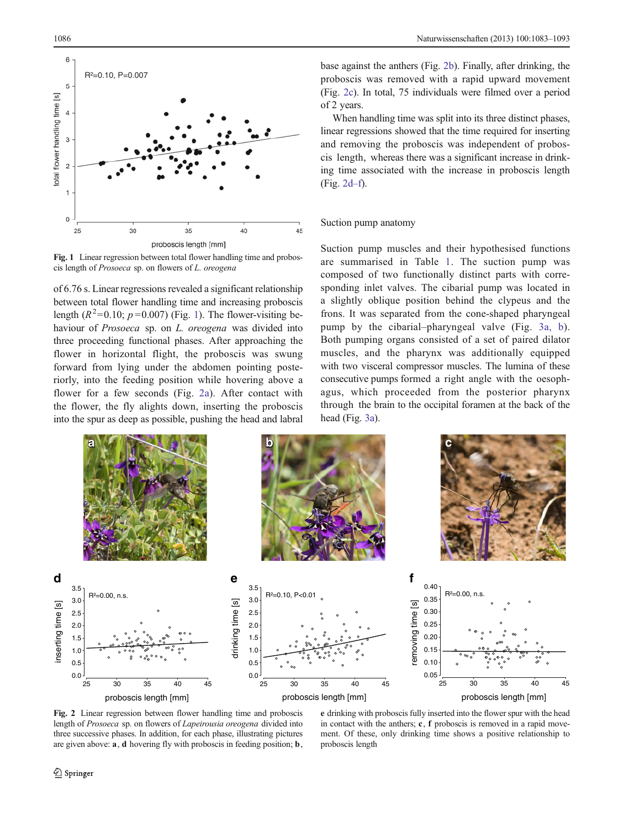<span id="page-3-0"></span>

Fig. 1 Linear regression between total flower handling time and proboscis length of Prosoeca sp. on flowers of L. oreogena

of 6.76 s. Linear regressions revealed a significant relationship between total flower handling time and increasing proboscis length  $(R^2=0.10; p=0.007)$  (Fig. 1). The flower-visiting behaviour of *Prosoeca* sp. on *L. oreogena* was divided into three proceeding functional phases. After approaching the flower in horizontal flight, the proboscis was swung forward from lying under the abdomen pointing posteriorly, into the feeding position while hovering above a flower for a few seconds (Fig. 2a). After contact with the flower, the fly alights down, inserting the proboscis into the spur as deep as possible, pushing the head and labral base against the anthers (Fig. 2b). Finally, after drinking, the proboscis was removed with a rapid upward movement (Fig. 2c). In total, 75 individuals were filmed over a period of 2 years.

When handling time was split into its three distinct phases, linear regressions showed that the time required for inserting and removing the proboscis was independent of proboscis length, whereas there was a significant increase in drinking time associated with the increase in proboscis length (Fig. 2d–f).

#### Suction pump anatomy

Suction pump muscles and their hypothesised functions are summarised in Table [1.](#page-4-0) The suction pump was composed of two functionally distinct parts with corresponding inlet valves. The cibarial pump was located in a slightly oblique position behind the clypeus and the frons. It was separated from the cone-shaped pharyngeal pump by the cibarial–pharyngeal valve (Fig. [3a, b](#page-5-0)). Both pumping organs consisted of a set of paired dilator muscles, and the pharynx was additionally equipped with two visceral compressor muscles. The lumina of these consecutive pumps formed a right angle with the oesophagus, which proceeded from the posterior pharynx through the brain to the occipital foramen at the back of the head (Fig. [3a](#page-5-0)).



Fig. 2 Linear regression between flower handling time and proboscis length of Prosoeca sp. on flowers of Lapeirousia oreogena divided into three successive phases. In addition, for each phase, illustrating pictures are given above: a, d hovering fly with proboscis in feeding position; b,

e drinking with proboscis fully inserted into the flower spur with the head in contact with the anthers; c, f proboscis is removed in a rapid movement. Of these, only drinking time shows a positive relationship to proboscis length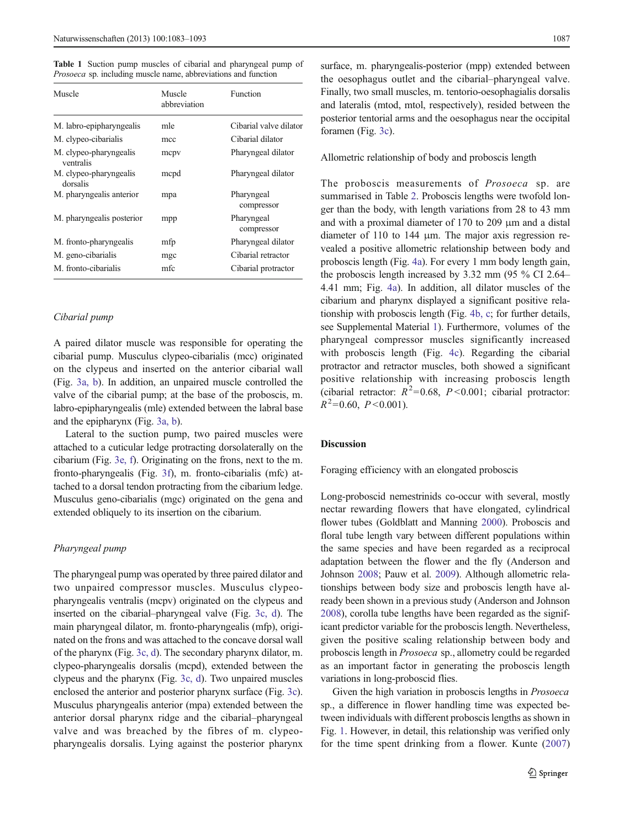<span id="page-4-0"></span>Table 1 Suction pump muscles of cibarial and pharyngeal pump of Prosoeca sp. including muscle name, abbreviations and function

| Muscle                              | Muscle<br>abbreviation | Function                 |  |
|-------------------------------------|------------------------|--------------------------|--|
| M. labro-epipharyngealis            | mle                    | Cibarial valve dilator   |  |
| M. clypeo-cibarialis                | mcc                    | Cibarial dilator         |  |
| M. clypeo-pharyngealis<br>ventralis | mcpv                   | Pharyngeal dilator       |  |
| M. clypeo-pharyngealis<br>dorsalis  | mcpd                   | Pharyngeal dilator       |  |
| M. pharyngealis anterior            | mpa                    | Pharyngeal<br>compressor |  |
| M. pharyngealis posterior           | mpp                    | Pharyngeal<br>compressor |  |
| M. fronto-pharyngealis              | mfp                    | Pharyngeal dilator       |  |
| M. geno-cibarialis                  | mgc                    | Cibarial retractor       |  |
| M. fronto-cibarialis                | mfc                    | Cibarial protractor      |  |

#### Cibarial pump

A paired dilator muscle was responsible for operating the cibarial pump. Musculus clypeo-cibarialis (mcc) originated on the clypeus and inserted on the anterior cibarial wall (Fig. [3a, b\)](#page-5-0). In addition, an unpaired muscle controlled the valve of the cibarial pump; at the base of the proboscis, m. labro-epipharyngealis (mle) extended between the labral base and the epipharynx (Fig. [3a, b\)](#page-5-0).

Lateral to the suction pump, two paired muscles were attached to a cuticular ledge protracting dorsolaterally on the cibarium (Fig. [3e, f\)](#page-5-0). Originating on the frons, next to the m. fronto-pharyngealis (Fig. [3f\)](#page-5-0), m. fronto-cibarialis (mfc) attached to a dorsal tendon protracting from the cibarium ledge. Musculus geno-cibarialis (mgc) originated on the gena and extended obliquely to its insertion on the cibarium.

#### Pharyngeal pump

The pharyngeal pump was operated by three paired dilator and two unpaired compressor muscles. Musculus clypeopharyngealis ventralis (mcpv) originated on the clypeus and inserted on the cibarial–pharyngeal valve (Fig. [3c, d](#page-5-0)). The main pharyngeal dilator, m. fronto-pharyngealis (mfp), originated on the frons and was attached to the concave dorsal wall of the pharynx (Fig. [3c, d\)](#page-5-0). The secondary pharynx dilator, m. clypeo-pharyngealis dorsalis (mcpd), extended between the clypeus and the pharynx (Fig. [3c, d\)](#page-5-0). Two unpaired muscles enclosed the anterior and posterior pharynx surface (Fig. [3c\)](#page-5-0). Musculus pharyngealis anterior (mpa) extended between the anterior dorsal pharynx ridge and the cibarial–pharyngeal valve and was breached by the fibres of m. clypeopharyngealis dorsalis. Lying against the posterior pharynx surface, m. pharyngealis-posterior (mpp) extended between the oesophagus outlet and the cibarial–pharyngeal valve. Finally, two small muscles, m. tentorio-oesophagialis dorsalis and lateralis (mtod, mtol, respectively), resided between the posterior tentorial arms and the oesophagus near the occipital foramen (Fig. [3c](#page-5-0)).

Allometric relationship of body and proboscis length

The proboscis measurements of Prosoeca sp. are summarised in Table [2](#page-6-0). Proboscis lengths were twofold longer than the body, with length variations from 28 to 43 mm and with a proximal diameter of 170 to 209 μm and a distal diameter of 110 to 144 μm. The major axis regression revealed a positive allometric relationship between body and proboscis length (Fig. [4a\)](#page-6-0). For every 1 mm body length gain, the proboscis length increased by 3.32 mm (95 % CI 2.64– 4.41 mm; Fig. [4a](#page-6-0)). In addition, all dilator muscles of the cibarium and pharynx displayed a significant positive relationship with proboscis length (Fig. [4b, c](#page-6-0); for further details, see Supplemental Material 1). Furthermore, volumes of the pharyngeal compressor muscles significantly increased with proboscis length (Fig. [4c](#page-6-0)). Regarding the cibarial protractor and retractor muscles, both showed a significant positive relationship with increasing proboscis length (cibarial retractor:  $R^2 = 0.68$ ,  $P < 0.001$ ; cibarial protractor:  $R^2$ =0.60,  $P$  <0.001).

# Discussion

Foraging efficiency with an elongated proboscis

Long-proboscid nemestrinids co-occur with several, mostly nectar rewarding flowers that have elongated, cylindrical flower tubes (Goldblatt and Manning [2000](#page-9-0)). Proboscis and floral tube length vary between different populations within the same species and have been regarded as a reciprocal adaptation between the flower and the fly (Anderson and Johnson [2008](#page-9-0); Pauw et al. [2009](#page-10-0)). Although allometric relationships between body size and proboscis length have already been shown in a previous study (Anderson and Johnson [2008\)](#page-9-0), corolla tube lengths have been regarded as the significant predictor variable for the proboscis length. Nevertheless, given the positive scaling relationship between body and proboscis length in Prosoeca sp., allometry could be regarded as an important factor in generating the proboscis length variations in long-proboscid flies.

Given the high variation in proboscis lengths in *Prosoeca* sp., a difference in flower handling time was expected between individuals with different proboscis lengths as shown in Fig. [1](#page-3-0). However, in detail, this relationship was verified only for the time spent drinking from a flower. Kunte ([2007](#page-10-0))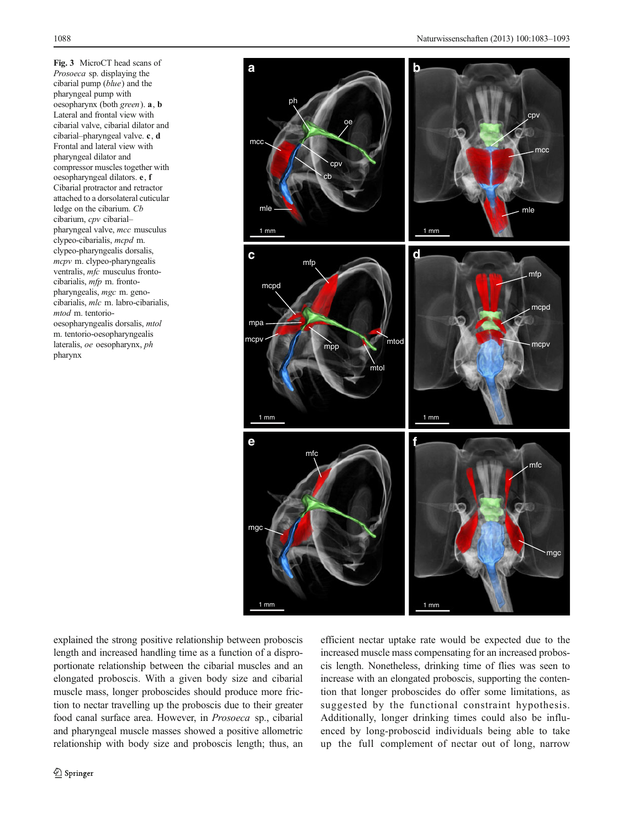<span id="page-5-0"></span>Fig. 3 MicroCT head scans of Prosoeca sp. displaying the cibarial pump (blue) and the pharyngeal pump with oesopharynx (both green). a, b Lateral and frontal view with cibarial valve, cibarial dilator and cibarial–pharyngeal valve. c, d Frontal and lateral view with pharyngeal dilator and compressor muscles together with oesopharyngeal dilators. e, f Cibarial protractor and retractor attached to a dorsolateral cuticular ledge on the cibarium. Cb cibarium, cpv cibarial– pharyngeal valve, mcc musculus clypeo-cibarialis, mcpd m. clypeo-pharyngealis dorsalis, mcpv m. clypeo-pharyngealis ventralis, mfc musculus frontocibarialis, mfp m. frontopharyngealis, mgc m. genocibarialis, mlc m. labro-cibarialis, mtod m. tentoriooesopharyngealis dorsalis, mtol m. tentorio-oesopharyngealis lateralis, oe oesopharynx, ph pharynx



explained the strong positive relationship between proboscis length and increased handling time as a function of a disproportionate relationship between the cibarial muscles and an elongated proboscis. With a given body size and cibarial muscle mass, longer proboscides should produce more friction to nectar travelling up the proboscis due to their greater food canal surface area. However, in Prosoeca sp., cibarial and pharyngeal muscle masses showed a positive allometric relationship with body size and proboscis length; thus, an

efficient nectar uptake rate would be expected due to the increased muscle mass compensating for an increased proboscis length. Nonetheless, drinking time of flies was seen to increase with an elongated proboscis, supporting the contention that longer proboscides do offer some limitations, as suggested by the functional constraint hypothesis. Additionally, longer drinking times could also be influenced by long-proboscid individuals being able to take up the full complement of nectar out of long, narrow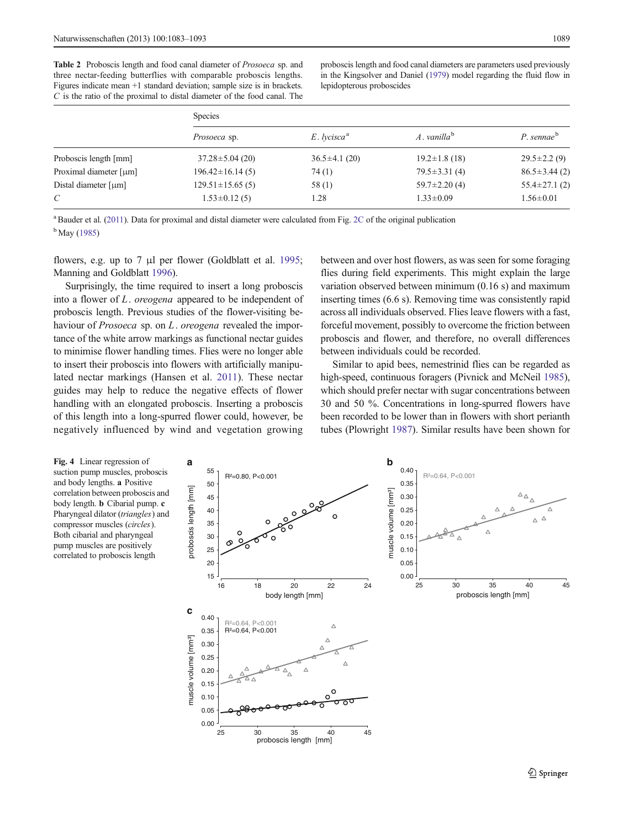<span id="page-6-0"></span>Table 2 Proboscis length and food canal diameter of Prosoeca sp. and three nectar-feeding butterflies with comparable proboscis lengths. Figures indicate mean +1 standard deviation; sample size is in brackets.  $C$  is the ratio of the proximal to distal diameter of the food canal. The proboscis length and food canal diameters are parameters used previously in the Kingsolver and Daniel [\(1979\)](#page-10-0) model regarding the fluid flow in lepidopterous proboscides

|                                       | <b>Species</b>        |                                        |                         |                     |  |
|---------------------------------------|-----------------------|----------------------------------------|-------------------------|---------------------|--|
|                                       | Prosoeca sp.          | $E.$ lycisca <sup><math>a</math></sup> | $A.$ vanilla $^{\rm b}$ | $P.$ sennae $b$     |  |
| Proboscis length [mm]                 | $37.28 \pm 5.04$ (20) | $36.5 \pm 4.1(20)$                     | $19.2 \pm 1.8$ (18)     | $29.5 \pm 2.2(9)$   |  |
| Proximal diameter [µm]                | $196.42 \pm 16.14(5)$ | 74 (1)                                 | $79.5 \pm 3.31(4)$      | $86.5 \pm 3.44$ (2) |  |
| Distal diameter $\lceil \mu m \rceil$ | $129.51 \pm 15.65(5)$ | 58(1)                                  | $59.7 \pm 2.20$ (4)     | 55.4 $\pm$ 27.1 (2) |  |
| C                                     | $1.53 \pm 0.12$ (5)   | 1.28                                   | $1.33 \pm 0.09$         | $1.56 \pm 0.01$     |  |
|                                       |                       |                                        |                         |                     |  |

<sup>a</sup> Bauder et al. [\(2011](#page-9-0)). Data for proximal and distal diameter were calculated from Fig. [2C](#page-3-0) of the original publication <sup>b</sup> May ([1985](#page-10-0))

flowers, e.g. up to 7 μl per flower (Goldblatt et al. [1995](#page-9-0); Manning and Goldblatt [1996](#page-10-0)).

Surprisingly, the time required to insert a long proboscis into a flower of L. oreogena appeared to be independent of proboscis length. Previous studies of the flower-visiting behaviour of *Prosoeca* sp. on *L*. *oreogena* revealed the importance of the white arrow markings as functional nectar guides to minimise flower handling times. Flies were no longer able to insert their proboscis into flowers with artificially manipulated nectar markings (Hansen et al. [2011\)](#page-9-0). These nectar guides may help to reduce the negative effects of flower handling with an elongated proboscis. Inserting a proboscis of this length into a long-spurred flower could, however, be negatively influenced by wind and vegetation growing between and over host flowers, as was seen for some foraging flies during field experiments. This might explain the large variation observed between minimum (0.16 s) and maximum inserting times (6.6 s). Removing time was consistently rapid across all individuals observed. Flies leave flowers with a fast, forceful movement, possibly to overcome the friction between proboscis and flower, and therefore, no overall differences between individuals could be recorded.

Similar to apid bees, nemestrinid flies can be regarded as high-speed, continuous foragers (Pivnick and McNeil [1985\)](#page-10-0), which should prefer nectar with sugar concentrations between 30 and 50 %. Concentrations in long-spurred flowers have been recorded to be lower than in flowers with short perianth tubes (Plowright [1987\)](#page-10-0). Similar results have been shown for

Fig. 4 Linear regression of suction pump muscles, proboscis and body lengths. a Positive correlation between proboscis and body length. b Cibarial pump. c Pharyngeal dilator (triangles) and compressor muscles (circles). Both cibarial and pharyngeal pump muscles are positively correlated to proboscis length

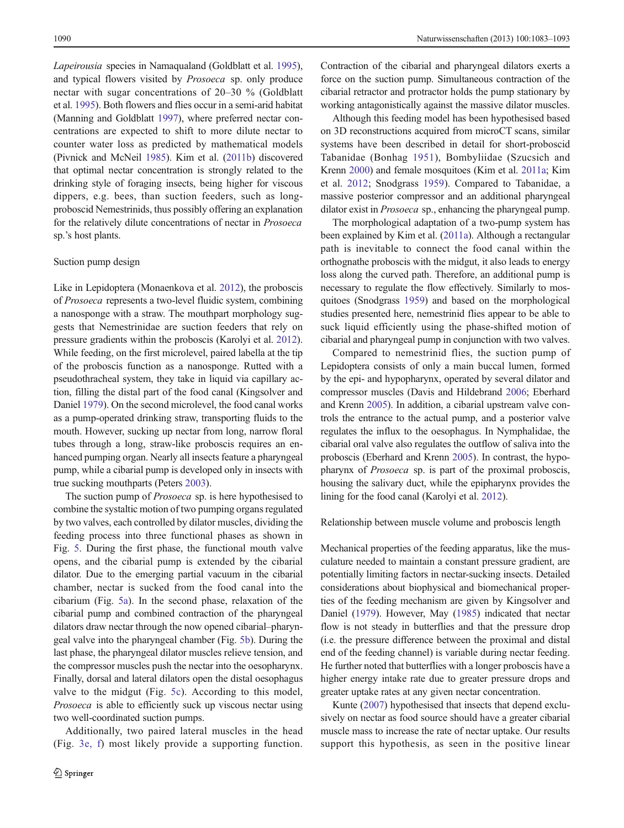Lapeirousia species in Namaqualand (Goldblatt et al. [1995\)](#page-9-0), and typical flowers visited by Prosoeca sp. only produce nectar with sugar concentrations of 20–30 % (Goldblatt et al. [1995\)](#page-9-0). Both flowers and flies occur in a semi-arid habitat (Manning and Goldblatt [1997](#page-10-0)), where preferred nectar concentrations are expected to shift to more dilute nectar to counter water loss as predicted by mathematical models (Pivnick and McNeil [1985\)](#page-10-0). Kim et al. [\(2011b](#page-10-0)) discovered that optimal nectar concentration is strongly related to the drinking style of foraging insects, being higher for viscous dippers, e.g. bees, than suction feeders, such as longproboscid Nemestrinids, thus possibly offering an explanation for the relatively dilute concentrations of nectar in Prosoeca sp.'s host plants.

# Suction pump design

Like in Lepidoptera (Monaenkova et al. [2012](#page-10-0)), the proboscis of Prosoeca represents a two-level fluidic system, combining a nanosponge with a straw. The mouthpart morphology suggests that Nemestrinidae are suction feeders that rely on pressure gradients within the proboscis (Karolyi et al. [2012\)](#page-9-0). While feeding, on the first microlevel, paired labella at the tip of the proboscis function as a nanosponge. Rutted with a pseudothracheal system, they take in liquid via capillary action, filling the distal part of the food canal (Kingsolver and Daniel [1979](#page-10-0)). On the second microlevel, the food canal works as a pump-operated drinking straw, transporting fluids to the mouth. However, sucking up nectar from long, narrow floral tubes through a long, straw-like proboscis requires an enhanced pumping organ. Nearly all insects feature a pharyngeal pump, while a cibarial pump is developed only in insects with true sucking mouthparts (Peters [2003](#page-10-0)).

The suction pump of Prosoeca sp. is here hypothesised to combine the systaltic motion of two pumping organs regulated by two valves, each controlled by dilator muscles, dividing the feeding process into three functional phases as shown in Fig. [5.](#page-8-0) During the first phase, the functional mouth valve opens, and the cibarial pump is extended by the cibarial dilator. Due to the emerging partial vacuum in the cibarial chamber, nectar is sucked from the food canal into the cibarium (Fig. [5a](#page-8-0)). In the second phase, relaxation of the cibarial pump and combined contraction of the pharyngeal dilators draw nectar through the now opened cibarial–pharyngeal valve into the pharyngeal chamber (Fig. [5b\)](#page-8-0). During the last phase, the pharyngeal dilator muscles relieve tension, and the compressor muscles push the nectar into the oesopharynx. Finally, dorsal and lateral dilators open the distal oesophagus valve to the midgut (Fig. [5c\)](#page-8-0). According to this model, Prosoeca is able to efficiently suck up viscous nectar using two well-coordinated suction pumps.

Additionally, two paired lateral muscles in the head (Fig. [3e, f](#page-5-0)) most likely provide a supporting function. Contraction of the cibarial and pharyngeal dilators exerts a force on the suction pump. Simultaneous contraction of the cibarial retractor and protractor holds the pump stationary by working antagonistically against the massive dilator muscles.

Although this feeding model has been hypothesised based on 3D reconstructions acquired from microCT scans, similar systems have been described in detail for short-proboscid Tabanidae (Bonhag [1951\)](#page-9-0), Bombyliidae (Szucsich and Krenn [2000\)](#page-10-0) and female mosquitoes (Kim et al. [2011a](#page-10-0); Kim et al. [2012;](#page-10-0) Snodgrass [1959](#page-10-0)). Compared to Tabanidae, a massive posterior compressor and an additional pharyngeal dilator exist in Prosoeca sp., enhancing the pharyngeal pump.

The morphological adaptation of a two-pump system has been explained by Kim et al. [\(2011a\)](#page-10-0). Although a rectangular path is inevitable to connect the food canal within the orthognathe proboscis with the midgut, it also leads to energy loss along the curved path. Therefore, an additional pump is necessary to regulate the flow effectively. Similarly to mosquitoes (Snodgrass [1959](#page-10-0)) and based on the morphological studies presented here, nemestrinid flies appear to be able to suck liquid efficiently using the phase-shifted motion of cibarial and pharyngeal pump in conjunction with two valves.

Compared to nemestrinid flies, the suction pump of Lepidoptera consists of only a main buccal lumen, formed by the epi- and hypopharynx, operated by several dilator and compressor muscles (Davis and Hildebrand [2006;](#page-9-0) Eberhard and Krenn [2005\)](#page-9-0). In addition, a cibarial upstream valve controls the entrance to the actual pump, and a posterior valve regulates the influx to the oesophagus. In Nymphalidae, the cibarial oral valve also regulates the outflow of saliva into the proboscis (Eberhard and Krenn [2005](#page-9-0)). In contrast, the hypopharynx of Prosoeca sp. is part of the proximal proboscis, housing the salivary duct, while the epipharynx provides the lining for the food canal (Karolyi et al. [2012](#page-9-0)).

#### Relationship between muscle volume and proboscis length

Mechanical properties of the feeding apparatus, like the musculature needed to maintain a constant pressure gradient, are potentially limiting factors in nectar-sucking insects. Detailed considerations about biophysical and biomechanical properties of the feeding mechanism are given by Kingsolver and Daniel [\(1979\)](#page-10-0). However, May ([1985](#page-10-0)) indicated that nectar flow is not steady in butterflies and that the pressure drop (i.e. the pressure difference between the proximal and distal end of the feeding channel) is variable during nectar feeding. He further noted that butterflies with a longer proboscis have a higher energy intake rate due to greater pressure drops and greater uptake rates at any given nectar concentration.

Kunte [\(2007\)](#page-10-0) hypothesised that insects that depend exclusively on nectar as food source should have a greater cibarial muscle mass to increase the rate of nectar uptake. Our results support this hypothesis, as seen in the positive linear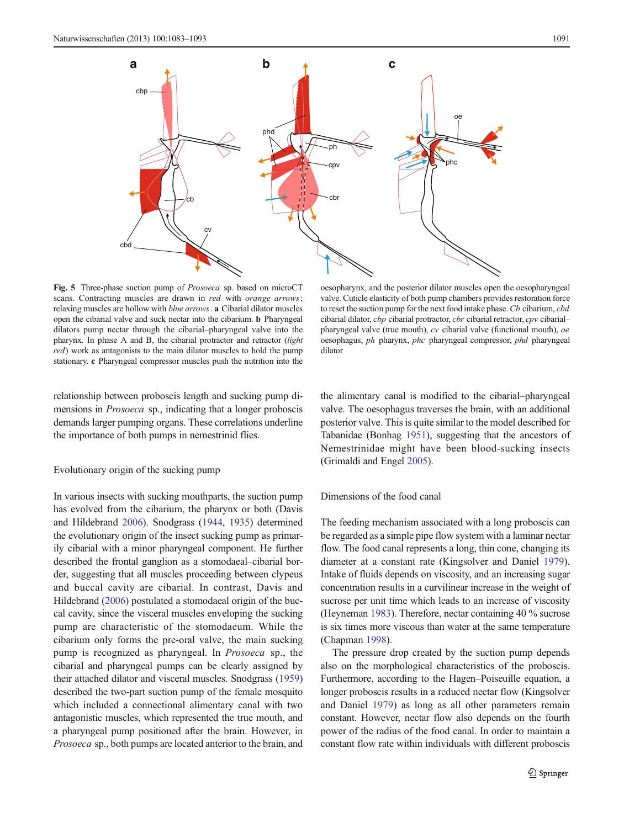<span id="page-8-0"></span>

Fig. 5 Three-phase suction pump of Prosoeca sp. based on microCT scans. Contracting muscles are drawn in red with orange arrows; relaxing muscles are hollow with blue arrows. a Cibarial dilator muscles open the cibarial valve and suck nectar into the cibarium. b Pharyngeal dilators pump nectar through the cibarial–pharyngeal valve into the pharynx. In phase A and B, the cibarial protractor and retractor (light red) work as antagonists to the main dilator muscles to hold the pump stationary. c Pharyngeal compressor muscles push the nutrition into the

oesopharynx, and the posterior dilator muscles open the oesopharyngeal valve. Cuticle elasticity of both pump chambers provides restoration force to reset the suction pump for the next food intake phase. Cb cibarium, cbd cibarial dilator, cbp cibarial protractor, cbr cibarial retractor, cpv cibarial– pharyngeal valve (true mouth), cv cibarial valve (functional mouth), oe oesophagus, ph pharynx, phc pharyngeal compressor, phd pharyngeal dilator

relationship between proboscis length and sucking pump dimensions in Prosoeca sp., indicating that a longer proboscis demands larger pumping organs. These correlations underline the importance of both pumps in nemestrinid flies.

# Evolutionary origin of the sucking pump

In various insects with sucking mouthparts, the suction pump has evolved from the cibarium, the pharynx or both (Davis and Hildebrand [2006](#page-9-0)). Snodgrass ([1944](#page-10-0), [1935](#page-10-0)) determined the evolutionary origin of the insect sucking pump as primarily cibarial with a minor pharyngeal component. He further described the frontal ganglion as a stomodaeal–cibarial border, suggesting that all muscles proceeding between clypeus and buccal cavity are cibarial. In contrast, Davis and Hildebrand [\(2006\)](#page-9-0) postulated a stomodaeal origin of the buccal cavity, since the visceral muscles enveloping the sucking pump are characteristic of the stomodaeum. While the cibarium only forms the pre-oral valve, the main sucking pump is recognized as pharyngeal. In Prosoeca sp., the cibarial and pharyngeal pumps can be clearly assigned by their attached dilator and visceral muscles. Snodgrass [\(1959\)](#page-10-0) described the two-part suction pump of the female mosquito which included a connectional alimentary canal with two antagonistic muscles, which represented the true mouth, and a pharyngeal pump positioned after the brain. However, in Prosoeca sp., both pumps are located anterior to the brain, and the alimentary canal is modified to the cibarial–pharyngeal valve. The oesophagus traverses the brain, with an additional posterior valve. This is quite similar to the model described for Tabanidae (Bonhag [1951\)](#page-9-0), suggesting that the ancestors of Nemestrinidae might have been blood-sucking insects (Grimaldi and Engel [2005](#page-9-0)).

# Dimensions of the food canal

The feeding mechanism associated with a long proboscis can be regarded as a simple pipe flow system with a laminar nectar flow. The food canal represents a long, thin cone, changing its diameter at a constant rate (Kingsolver and Daniel [1979\)](#page-10-0). Intake of fluids depends on viscosity, and an increasing sugar concentration results in a curvilinear increase in the weight of sucrose per unit time which leads to an increase of viscosity (Heyneman [1983](#page-9-0)). Therefore, nectar containing 40 % sucrose is six times more viscous than water at the same temperature (Chapman [1998\)](#page-9-0).

The pressure drop created by the suction pump depends also on the morphological characteristics of the proboscis. Furthermore, according to the Hagen–Poiseuille equation, a longer proboscis results in a reduced nectar flow (Kingsolver and Daniel [1979\)](#page-10-0) as long as all other parameters remain constant. However, nectar flow also depends on the fourth power of the radius of the food canal. In order to maintain a constant flow rate within individuals with different proboscis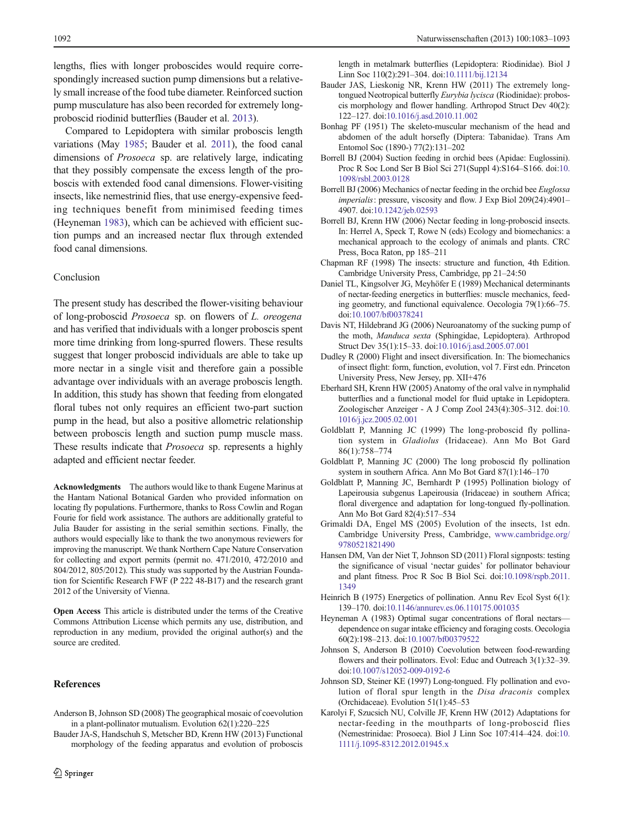<span id="page-9-0"></span>lengths, flies with longer proboscides would require correspondingly increased suction pump dimensions but a relatively small increase of the food tube diameter. Reinforced suction pump musculature has also been recorded for extremely longproboscid riodinid butterflies (Bauder et al. 2013).

Compared to Lepidoptera with similar proboscis length variations (May [1985](#page-10-0); Bauder et al. 2011), the food canal dimensions of Prosoeca sp. are relatively large, indicating that they possibly compensate the excess length of the proboscis with extended food canal dimensions. Flower-visiting insects, like nemestrinid flies, that use energy-expensive feeding techniques benefit from minimised feeding times (Heyneman 1983), which can be achieved with efficient suction pumps and an increased nectar flux through extended food canal dimensions.

# Conclusion

The present study has described the flower-visiting behaviour of long-proboscid Prosoeca sp. on flowers of L. oreogena and has verified that individuals with a longer proboscis spent more time drinking from long-spurred flowers. These results suggest that longer proboscid individuals are able to take up more nectar in a single visit and therefore gain a possible advantage over individuals with an average proboscis length. In addition, this study has shown that feeding from elongated floral tubes not only requires an efficient two-part suction pump in the head, but also a positive allometric relationship between proboscis length and suction pump muscle mass. These results indicate that *Prosoeca* sp. represents a highly adapted and efficient nectar feeder.

Acknowledgments The authors would like to thank Eugene Marinus at the Hantam National Botanical Garden who provided information on locating fly populations. Furthermore, thanks to Ross Cowlin and Rogan Fourie for field work assistance. The authors are additionally grateful to Julia Bauder for assisting in the serial semithin sections. Finally, the authors would especially like to thank the two anonymous reviewers for improving the manuscript. We thank Northern Cape Nature Conservation for collecting and export permits (permit no. 471/2010, 472/2010 and 804/2012, 805/2012). This study was supported by the Austrian Foundation for Scientific Research FWF (P 222 48-B17) and the research grant 2012 of the University of Vienna.

Open Access This article is distributed under the terms of the Creative Commons Attribution License which permits any use, distribution, and reproduction in any medium, provided the original author(s) and the source are credited.

# **References**

- Anderson B, Johnson SD (2008) The geographical mosaic of coevolution in a plant-pollinator mutualism. Evolution 62(1):220–225
- Bauder JA-S, Handschuh S, Metscher BD, Krenn HW (2013) Functional morphology of the feeding apparatus and evolution of proboscis

length in metalmark butterflies (Lepidoptera: Riodinidae). Biol J Linn Soc 110(2):291–304. doi[:10.1111/bij.12134](http://dx.doi.org/10.1111/bij.12134)

- Bauder JAS, Lieskonig NR, Krenn HW (2011) The extremely longtongued Neotropical butterfly Eurybia lycisca (Riodinidae): proboscis morphology and flower handling. Arthropod Struct Dev 40(2): 122–127. doi[:10.1016/j.asd.2010.11.002](http://dx.doi.org/10.1016/j.asd.2010.11.002)
- Bonhag PF (1951) The skeleto-muscular mechanism of the head and abdomen of the adult horsefly (Diptera: Tabanidae). Trans Am Entomol Soc (1890-) 77(2):131–202
- Borrell BJ (2004) Suction feeding in orchid bees (Apidae: Euglossini). Proc R Soc Lond Ser B Biol Sci 271(Suppl 4):S164–S166. doi[:10.](http://dx.doi.org/10.1098/rsbl.2003.0128) [1098/rsbl.2003.0128](http://dx.doi.org/10.1098/rsbl.2003.0128)
- Borrell BJ (2006) Mechanics of nectar feeding in the orchid bee Euglossa imperialis: pressure, viscosity and flow. J Exp Biol 209(24):4901– 4907. doi:[10.1242/jeb.02593](http://dx.doi.org/10.1242/jeb.02593)
- Borrell BJ, Krenn HW (2006) Nectar feeding in long-proboscid insects. In: Herrel A, Speck T, Rowe N (eds) Ecology and biomechanics: a mechanical approach to the ecology of animals and plants. CRC Press, Boca Raton, pp 185–211
- Chapman RF (1998) The insects: structure and function, 4th Edition. Cambridge University Press, Cambridge, pp 21–24:50
- Daniel TL, Kingsolver JG, Meyhöfer E (1989) Mechanical determinants of nectar-feeding energetics in butterflies: muscle mechanics, feeding geometry, and functional equivalence. Oecologia 79(1):66–75. doi:[10.1007/bf00378241](http://dx.doi.org/10.1007/bf00378241)
- Davis NT, Hildebrand JG (2006) Neuroanatomy of the sucking pump of the moth, Manduca sexta (Sphingidae, Lepidoptera). Arthropod Struct Dev 35(1):15–33. doi[:10.1016/j.asd.2005.07.001](http://dx.doi.org/10.1016/j.asd.2005.07.001)
- Dudley R (2000) Flight and insect diversification. In: The biomechanics of insect flight: form, function, evolution, vol 7. First edn. Princeton University Press, New Jersey, pp. XII+476
- Eberhard SH, Krenn HW (2005) Anatomy of the oral valve in nymphalid butterflies and a functional model for fluid uptake in Lepidoptera. Zoologischer Anzeiger - A J Comp Zool 243(4):305–312. doi[:10.](http://dx.doi.org/10.1016/j.jcz.2005.02.001) [1016/j.jcz.2005.02.001](http://dx.doi.org/10.1016/j.jcz.2005.02.001)
- Goldblatt P, Manning JC (1999) The long-proboscid fly pollination system in Gladiolus (Iridaceae). Ann Mo Bot Gard 86(1):758–774
- Goldblatt P, Manning JC (2000) The long proboscid fly pollination system in southern Africa. Ann Mo Bot Gard 87(1):146–170
- Goldblatt P, Manning JC, Bernhardt P (1995) Pollination biology of Lapeirousia subgenus Lapeirousia (Iridaceae) in southern Africa; floral divergence and adaptation for long-tongued fly-pollination. Ann Mo Bot Gard 82(4):517–534
- Grimaldi DA, Engel MS (2005) Evolution of the insects, 1st edn. Cambridge University Press, Cambridge, [www.cambridge.org/](http://www.cambridge.org/9780521821490) [9780521821490](http://www.cambridge.org/9780521821490)
- Hansen DM, Van der Niet T, Johnson SD (2011) Floral signposts: testing the significance of visual 'nectar guides' for pollinator behaviour and plant fitness. Proc R Soc B Biol Sci. doi:[10.1098/rspb.2011.](http://dx.doi.org/10.1098/rspb.2011.1349) [1349](http://dx.doi.org/10.1098/rspb.2011.1349)
- Heinrich B (1975) Energetics of pollination. Annu Rev Ecol Syst 6(1): 139–170. doi[:10.1146/annurev.es.06.110175.001035](http://dx.doi.org/10.1146/annurev.es.06.110175.001035)
- Heyneman A (1983) Optimal sugar concentrations of floral nectars dependence on sugar intake efficiency and foraging costs. Oecologia 60(2):198–213. doi:[10.1007/bf00379522](http://dx.doi.org/10.1007/bf00379522)
- Johnson S, Anderson B (2010) Coevolution between food-rewarding flowers and their pollinators. Evol: Educ and Outreach 3(1):32–39. doi:[10.1007/s12052-009-0192-6](http://dx.doi.org/10.1007/s12052-009-0192-6)
- Johnson SD, Steiner KE (1997) Long-tongued. Fly pollination and evolution of floral spur length in the Disa draconis complex (Orchidaceae). Evolution 51(1):45–53
- Karolyi F, Szucsich NU, Colville JF, Krenn HW (2012) Adaptations for nectar-feeding in the mouthparts of long-proboscid flies (Nemestrinidae: Prosoeca). Biol J Linn Soc 107:414–424. doi[:10.](http://dx.doi.org/10.1111/j.1095-8312.2012.01945.x) [1111/j.1095-8312.2012.01945.x](http://dx.doi.org/10.1111/j.1095-8312.2012.01945.x)